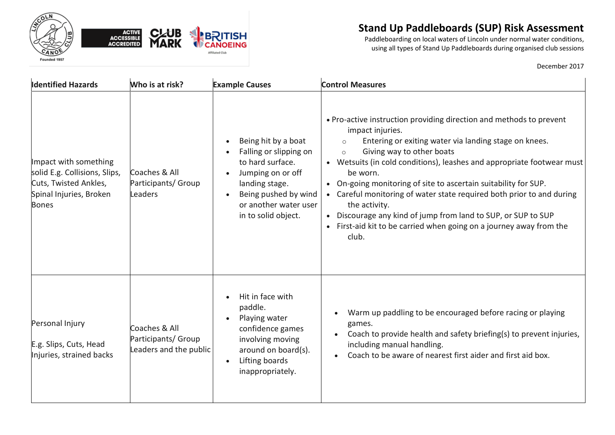



Paddleboarding on local waters of Lincoln under normal water conditions, using all types of Stand Up Paddleboards during organised club sessions

| <b>Identified Hazards</b>                                                                                                  | Who is at risk?                                                | <b>Example Causes</b>                                                                                                                                                            | <b>Control Measures</b>                                                                                                                                                                                                                                                                                                                                                                                                                                                                                                                                                                                 |
|----------------------------------------------------------------------------------------------------------------------------|----------------------------------------------------------------|----------------------------------------------------------------------------------------------------------------------------------------------------------------------------------|---------------------------------------------------------------------------------------------------------------------------------------------------------------------------------------------------------------------------------------------------------------------------------------------------------------------------------------------------------------------------------------------------------------------------------------------------------------------------------------------------------------------------------------------------------------------------------------------------------|
| Impact with something<br>solid E.g. Collisions, Slips,<br>Cuts, Twisted Ankles,<br>Spinal Injuries, Broken<br><b>Bones</b> | Coaches & All<br>Participants/ Group<br>Leaders                | Being hit by a boat<br>Falling or slipping on<br>to hard surface.<br>Jumping on or off<br>landing stage.<br>Being pushed by wind<br>or another water user<br>in to solid object. | . Pro-active instruction providing direction and methods to prevent<br>impact injuries.<br>Entering or exiting water via landing stage on knees.<br>$\circ$<br>Giving way to other boats<br>$\circ$<br>• Wetsuits (in cold conditions), leashes and appropriate footwear must<br>be worn.<br>• On-going monitoring of site to ascertain suitability for SUP.<br>• Careful monitoring of water state required both prior to and during<br>the activity.<br>• Discourage any kind of jump from land to SUP, or SUP to SUP<br>• First-aid kit to be carried when going on a journey away from the<br>club. |
| Personal Injury<br>E.g. Slips, Cuts, Head<br>Injuries, strained backs                                                      | Coaches & All<br>Participants/ Group<br>Leaders and the public | Hit in face with<br>paddle.<br>Playing water<br>confidence games<br>involving moving<br>around on board(s).<br>Lifting boards<br>inappropriately.                                | Warm up paddling to be encouraged before racing or playing<br>games.<br>Coach to provide health and safety briefing(s) to prevent injuries,<br>including manual handling.<br>Coach to be aware of nearest first aider and first aid box.                                                                                                                                                                                                                                                                                                                                                                |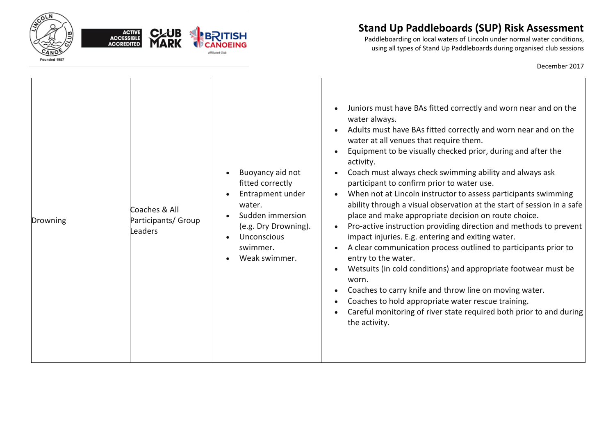

Paddleboarding on local waters of Lincoln under normal water conditions, using all types of Stand Up Paddleboards during organised club sessions

| Drowning | Coaches & All<br>Participants/ Group<br>Leaders | Buoyancy aid not<br>fitted correctly<br>Entrapment under<br>water.<br>Sudden immersion<br>(e.g. Dry Drowning).<br>Unconscious<br>swimmer.<br>Weak swimmer. | Juniors must have BAs fitted correctly and worn near and on the<br>water always.<br>Adults must have BAs fitted correctly and worn near and on the<br>water at all venues that require them.<br>Equipment to be visually checked prior, during and after the<br>activity.<br>Coach must always check swimming ability and always ask<br>participant to confirm prior to water use.<br>When not at Lincoln instructor to assess participants swimming<br>ability through a visual observation at the start of session in a safe<br>place and make appropriate decision on route choice.<br>Pro-active instruction providing direction and methods to prevent<br>impact injuries. E.g. entering and exiting water.<br>A clear communication process outlined to participants prior to<br>entry to the water.<br>Wetsuits (in cold conditions) and appropriate footwear must be<br>worn.<br>Coaches to carry knife and throw line on moving water.<br>Coaches to hold appropriate water rescue training.<br>Careful monitoring of river state required both prior to and during<br>$\bullet$<br>the activity. |
|----------|-------------------------------------------------|------------------------------------------------------------------------------------------------------------------------------------------------------------|------------------------------------------------------------------------------------------------------------------------------------------------------------------------------------------------------------------------------------------------------------------------------------------------------------------------------------------------------------------------------------------------------------------------------------------------------------------------------------------------------------------------------------------------------------------------------------------------------------------------------------------------------------------------------------------------------------------------------------------------------------------------------------------------------------------------------------------------------------------------------------------------------------------------------------------------------------------------------------------------------------------------------------------------------------------------------------------------------------|
|----------|-------------------------------------------------|------------------------------------------------------------------------------------------------------------------------------------------------------------|------------------------------------------------------------------------------------------------------------------------------------------------------------------------------------------------------------------------------------------------------------------------------------------------------------------------------------------------------------------------------------------------------------------------------------------------------------------------------------------------------------------------------------------------------------------------------------------------------------------------------------------------------------------------------------------------------------------------------------------------------------------------------------------------------------------------------------------------------------------------------------------------------------------------------------------------------------------------------------------------------------------------------------------------------------------------------------------------------------|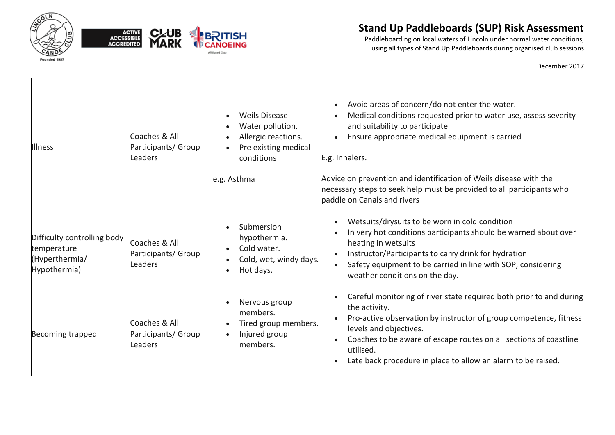

Paddleboarding on local waters of Lincoln under normal water conditions, using all types of Stand Up Paddleboards during organised club sessions

| <b>Illness</b>                                                               | Coaches & All<br>Participants/ Group<br>Leaders | <b>Weils Disease</b><br>Water pollution.<br>$\bullet$<br>Allergic reactions.<br>Pre existing medical<br>conditions<br>e.g. Asthma | Avoid areas of concern/do not enter the water.<br>Medical conditions requested prior to water use, assess severity<br>and suitability to participate<br>Ensure appropriate medical equipment is carried -<br>E.g. Inhalers.<br>Advice on prevention and identification of Weils disease with the<br>necessary steps to seek help must be provided to all participants who<br>paddle on Canals and rivers |
|------------------------------------------------------------------------------|-------------------------------------------------|-----------------------------------------------------------------------------------------------------------------------------------|----------------------------------------------------------------------------------------------------------------------------------------------------------------------------------------------------------------------------------------------------------------------------------------------------------------------------------------------------------------------------------------------------------|
| Difficulty controlling body<br>temperature<br>(Hyperthermia/<br>Hypothermia) | Coaches & All<br>Participants/ Group<br>Leaders | Submersion<br>hypothermia.<br>Cold water.<br>Cold, wet, windy days.<br>Hot days.                                                  | Wetsuits/drysuits to be worn in cold condition<br>In very hot conditions participants should be warned about over<br>heating in wetsuits<br>Instructor/Participants to carry drink for hydration<br>Safety equipment to be carried in line with SOP, considering<br>weather conditions on the day.                                                                                                       |
| Becoming trapped                                                             | Coaches & All<br>Participants/ Group<br>Leaders | Nervous group<br>members.<br>Tired group members.<br>Injured group<br>members.                                                    | Careful monitoring of river state required both prior to and during<br>the activity.<br>Pro-active observation by instructor of group competence, fitness<br>levels and objectives.<br>Coaches to be aware of escape routes on all sections of coastline<br>utilised.<br>Late back procedure in place to allow an alarm to be raised.                                                                    |